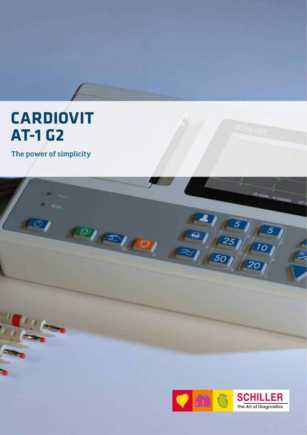## **CARDIOVIT AT-1 G2**

The power of simplicity

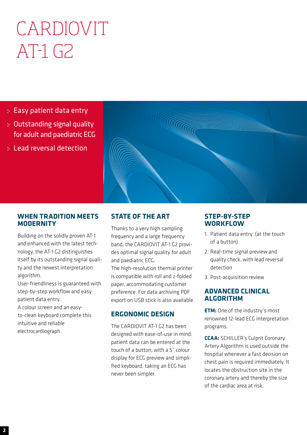# CARDIOVIT AT-1 G2

- Easy patient data entry
- Outstanding signal quality for adult and paediatric ECG
- Lead reversal detection



## **WHEN TRADITION MEETS MODERNITY**

Building on the solidly proven AT-1 and enhanced with the latest technology, the AT-1 G2 distinguishes itself by its outstanding signal quality and the newest interpretation algorithm.

User-friendliness is guaranteed with step-by-step workflow and easy patient data entry.

A colour screen and an easyto-clean keyboard complete this intuitive and reliable electrocardiograph.

## **STATE OF THE ART**

Thanks to a very high sampling frequency and a large frequency band, the CARDIOVIT AT-1 G2 provides optimal signal quality for adult and paediatric ECG.

The high-resolution thermal printer is compatible with roll and z-folded paper, accommodating customer preference. For data archiving PDF export on USB stick is also available.

## **ERGONOMIC DESIGN**

The CARDIOVIT AT-1 G2 has been designed with ease-of-use in mind: patient data can be entered at the touch of a button; with a 5" colour display for ECG preview and simplified keyboard, taking an ECG has never been simpler.

## **STEP-BY-STEP WORKFLOW**

- 1. Patient data entry (at the touch of a button)
- 2. Real-time signal preview and quality check, with lead reversal detection
- 3. Post-acquisition review

## **ADVANCED CLINICAL ALGORITHM**

**ETM:** One of the industry's most renowned 12-lead ECG interpretation programs.

**CCAA:** SCHILLER's Culprit Coronary Artery Algorithm is used outside the hospital whenever a fast decision on chest pain is required immediately. It locates the obstruction site in the coronary artery and thereby the size of the cardiac area at risk.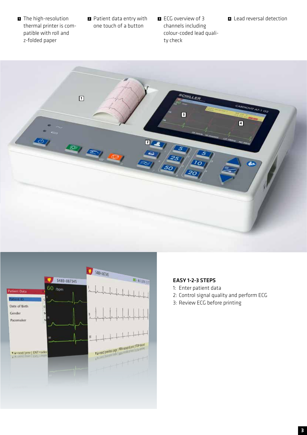- **1** The high-resolution thermal printer is compatible with roll and z-folded paper
- **<sup>2</sup>** Patient data entry with one touch of a button
- **<sup>3</sup>** ECG overview of 3 channels including colour-coded lead quality check





## EASY 1-2-3 STEPS

- 1: Enter patient data
- 2: Control signal quality and perform ECG
- 3: Review ECG before printing